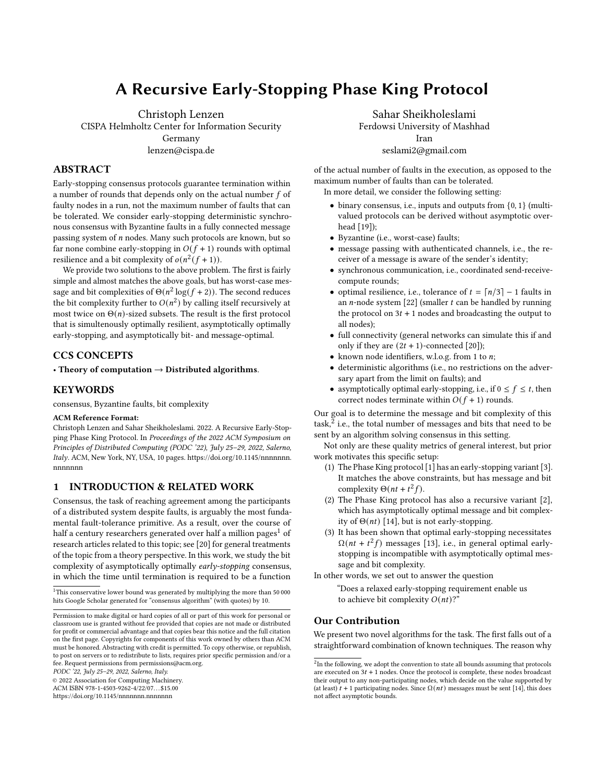# A Recursive Early-Stopping Phase King Protocol

Christoph Lenzen CISPA Helmholtz Center for Information Security Germany lenzen@cispa.de

## ABSTRACT

Early-stopping consensus protocols guarantee termination within a number of rounds that depends only on the actual number  $f$  of faulty nodes in a run, not the maximum number of faults that can be tolerated. We consider early-stopping deterministic synchronous consensus with Byzantine faults in a fully connected message passing system of  $n$  nodes. Many such protocols are known, but so far none combine early-stopping in  $O(f + 1)$  rounds with optimal resilience and a bit complexity of  $o(n^2(f + 1))$ .

We provide two solutions to the above problem. The first is fairly simple and almost matches the above goals, but has worst-case message and bit complexities of  $\Theta(n^2 \log (f + 2))$ . The second reduces the bit complexity further to  $O(n^2)$  by calling itself recursively at most twice on  $\Theta(n)$ -sized subsets. The result is the first protocol that is simultenously optimally resilient, asymptotically optimally early-stopping, and asymptotically bit- and message-optimal.

## CCS CONCEPTS

• Theory of computation  $\rightarrow$  Distributed algorithms.

#### **KEYWORDS**

consensus, Byzantine faults, bit complexity

#### ACM Reference Format:

Christoph Lenzen and Sahar Sheikholeslami. 2022. A Recursive Early-Stopping Phase King Protocol. In Proceedings of the 2022 ACM Symposium on Principles of Distributed Computing (PODC '22), July 25–29, 2022, Salerno, Italy. ACM, New York, NY, USA, [10](#page-9-0) pages. [https://doi.org/10.1145/nnnnnnn.](https://doi.org/10.1145/nnnnnnn.nnnnnnn) [nnnnnnn](https://doi.org/10.1145/nnnnnnn.nnnnnnn)

#### 1 INTRODUCTION & RELATED WORK

Consensus, the task of reaching agreement among the participants of a distributed system despite faults, is arguably the most fundamental fault-tolerance primitive. As a result, over the course of half a century researchers generated over half a million pages<sup>[1](#page-0-0)</sup> of research articles related to this topic; see [\[20\]](#page-9-1) for general treatments of the topic from a theory perspective. In this work, we study the bit complexity of asymptotically optimally early-stopping consensus, in which the time until termination is required to be a function

<span id="page-0-0"></span><sup>1</sup>This conservative lower bound was generated by multiplying the more than 50 000 hits Google Scholar generated for "consensus algorithm" (with quotes) by 10.

Permission to make digital or hard copies of all or part of this work for personal or classroom use is granted without fee provided that copies are not made or distributed for profit or commercial advantage and that copies bear this notice and the full citation on the first page. Copyrights for components of this work owned by others than ACM must be honored. Abstracting with credit is permitted. To copy otherwise, or republish, to post on servers or to redistribute to lists, requires prior specific permission and/or a fee. Request permissions from permissions@acm.org.

PODC '22, July 25–29, 2022, Salerno, Italy.

© 2022 Association for Computing Machinery.

ACM ISBN 978-1-4503-9262-4/22/07. . . \$15.00

<https://doi.org/10.1145/nnnnnnn.nnnnnnn>

Sahar Sheikholeslami

Ferdowsi University of Mashhad Iran

seslami2@gmail.com

of the actual number of faults in the execution, as opposed to the maximum number of faults than can be tolerated.

In more detail, we consider the following setting:

- binary consensus, i.e., inputs and outputs from {0, 1} (multivalued protocols can be derived without asymptotic overhead [\[19\]](#page-9-2));
- Byzantine (i.e., worst-case) faults;
- message passing with authenticated channels, i.e., the receiver of a message is aware of the sender's identity;
- synchronous communication, i.e., coordinated send-receivecompute rounds;
- optimal resilience, i.e., tolerance of  $t = \lceil n/3 \rceil 1$  faults in an  $n$ -node system [\[22\]](#page-9-3) (smaller  $t$  can be handled by running the protocol on  $3t + 1$  nodes and broadcasting the output to all nodes);
- full connectivity (general networks can simulate this if and only if they are  $(2t + 1)$ -connected [\[20\]](#page-9-1));
- known node identifiers, w.l.o.g. from 1 to  $n$ ;
- deterministic algorithms (i.e., no restrictions on the adversary apart from the limit on faults); and
- asymptotically optimal early-stopping, i.e., if  $0 \le f \le t$ , then correct nodes terminate within  $O(f + 1)$  rounds.

Our goal is to determine the message and bit complexity of this task. $\frac{1}{2}$  $\frac{1}{2}$  $\frac{1}{2}$  i.e., the total number of messages and bits that need to be sent by an algorithm solving consensus in this setting.

Not only are these quality metrics of general interest, but prior work motivates this specific setup:

- (1) The Phase King protocol [\[1\]](#page-9-4) has an early-stopping variant [\[3\]](#page-9-5). It matches the above constraints, but has message and bit complexity  $\Theta(nt + t^2f)$ .
- (2) The Phase King protocol has also a recursive variant [\[2\]](#page-9-6), which has asymptotically optimal message and bit complexity of  $\Theta(nt)$  [\[14\]](#page-9-7), but is not early-stopping.
- (3) It has been shown that optimal early-stopping necessitates  $\Omega(nt + t^2f)$  messages [\[13\]](#page-9-8), i.e., in general optimal earlystopping is incompatible with asymptotically optimal message and bit complexity.

In other words, we set out to answer the question

"Does a relaxed early-stopping requirement enable us to achieve bit complexity  $O(nt)$ ?"

#### Our Contribution

We present two novel algorithms for the task. The first falls out of a straightforward combination of known techniques. The reason why

<span id="page-0-1"></span> $2$ In the following, we adopt the convention to state all bounds assuming that protocols are executed on  $3t + 1$  nodes. Once the protocol is complete, these nodes broadcast their output to any non-participating nodes, which decide on the value supported by (at least)  $t + 1$  participating nodes. Since  $\Omega(nt)$  messages must be sent [\[14\]](#page-9-7), this does not affect asymptotic bounds.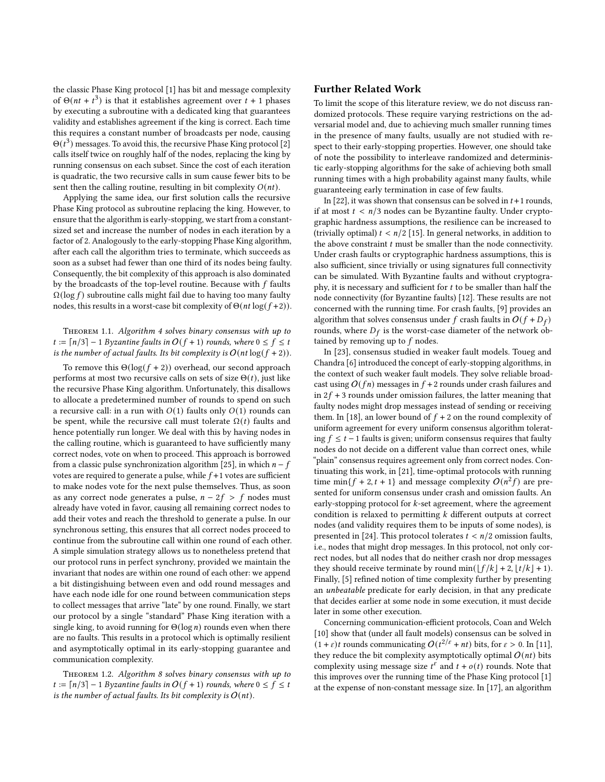the classic Phase King protocol [\[1\]](#page-9-4) has bit and message complexity of  $\Theta(nt + t^3)$  is that it establishes agreement over  $t + 1$  phases by executing a subroutine with a dedicated king that guarantees validity and establishes agreement if the king is correct. Each time this requires a constant number of broadcasts per node, causing  $\Theta(t^3)$  messages. To avoid this, the recursive Phase King protocol [\[2\]](#page-9-6) calls itself twice on roughly half of the nodes, replacing the king by running consensus on each subset. Since the cost of each iteration is quadratic, the two recursive calls in sum cause fewer bits to be sent then the calling routine, resulting in bit complexity  $O(nt)$ .

Applying the same idea, our first solution calls the recursive Phase King protocol as subroutine replacing the king. However, to ensure that the algorithm is early-stopping, we start from a constantsized set and increase the number of nodes in each iteration by a factor of 2. Analogously to the early-stopping Phase King algorithm, after each call the algorithm tries to terminate, which succeeds as soon as a subset had fewer than one third of its nodes being faulty. Consequently, the bit complexity of this approach is also dominated by the broadcasts of the top-level routine. Because with  $f$  faults  $\Omega(\log f)$  subroutine calls might fail due to having too many faulty nodes, this results in a worst-case bit complexity of  $\Theta(nt \log(f+2))$ .

#### <span id="page-1-0"></span>Theorem 1.1. Algorithm [4](#page-4-0) solves binary consensus with up to  $t := \lceil n/3 \rceil - 1$  Byzantine faults in  $O(f + 1)$  rounds, where  $0 \le f \le t$ is the number of actual faults. Its bit complexity is  $O(nt \log(f + 2))$ .

To remove this  $\Theta(\log(f + 2))$  overhead, our second approach performs at most two recursive calls on sets of size  $\Theta(t)$ , just like the recursive Phase King algorithm. Unfortunately, this disallows to allocate a predetermined number of rounds to spend on such a recursive call: in a run with  $O(1)$  faults only  $O(1)$  rounds can be spent, while the recursive call must tolerate  $\Omega(t)$  faults and hence potentially run longer. We deal with this by having nodes in the calling routine, which is guaranteed to have sufficiently many correct nodes, vote on when to proceed. This approach is borrowed from a classic pulse synchronization algorithm [\[25\]](#page-9-9), in which  $n - f$ votes are required to generate a pulse, while  $f+1$  votes are sufficient to make nodes vote for the next pulse themselves. Thus, as soon as any correct node generates a pulse,  $n - 2f > f$  nodes must already have voted in favor, causing all remaining correct nodes to add their votes and reach the threshold to generate a pulse. In our synchronous setting, this ensures that all correct nodes proceed to continue from the subroutine call within one round of each other. A simple simulation strategy allows us to nonetheless pretend that our protocol runs in perfect synchrony, provided we maintain the invariant that nodes are within one round of each other: we append a bit distingishuing between even and odd round messages and have each node idle for one round between communication steps to collect messages that arrive "late" by one round. Finally, we start our protocol by a single "standard" Phase King iteration with a single king, to avoid running for  $\Theta(\log n)$  rounds even when there are no faults. This results in a protocol which is optimally resilient and asymptotically optimal in its early-stopping guarantee and communication complexity.

<span id="page-1-1"></span>Theorem 1.2. Algorithm [8](#page-8-0) solves binary consensus with up to  $t := \lceil n/3 \rceil - 1$  Byzantine faults in  $O(f + 1)$  rounds, where  $0 \le f \le t$ is the number of actual faults. Its bit complexity is  $O(nt)$ .

### Further Related Work

To limit the scope of this literature review, we do not discuss randomized protocols. These require varying restrictions on the adversarial model and, due to achieving much smaller running times in the presence of many faults, usually are not studied with respect to their early-stopping properties. However, one should take of note the possibility to interleave randomized and deterministic early-stopping algorithms for the sake of achieving both small running times with a high probability against many faults, while guaranteeing early termination in case of few faults.

In [\[22\]](#page-9-3), it was shown that consensus can be solved in  $t+1$  rounds, if at most  $t < n/3$  nodes can be Byzantine faulty. Under cryptographic hardness assumptions, the resilience can be increased to (trivially optimal)  $t < n/2$  [\[15\]](#page-9-10). In general networks, in addition to the above constraint  $t$  must be smaller than the node connectivity. Under crash faults or cryptographic hardness assumptions, this is also sufficient, since trivially or using signatures full connectivity can be simulated. With Byzantine faults and without cryptography, it is necessary and sufficient for  $t$  to be smaller than half the node connectivity (for Byzantine faults) [\[12\]](#page-9-11). These results are not concerned with the running time. For crash faults, [\[9\]](#page-9-12) provides an algorithm that solves consensus under f crash faults in  $O(f + D_f)$ rounds, where  $D_f$  is the worst-case diameter of the network obtained by removing up to  $f$  nodes.

In [\[23\]](#page-9-13), consensus studied in weaker fault models. Toueg and Chandra [\[6\]](#page-9-14) introduced the concept of early-stopping algorithms, in the context of such weaker fault models. They solve reliable broadcast using  $O(fn)$  messages in  $f + 2$  rounds under crash failures and in  $2f + 3$  rounds under omission failures, the latter meaning that faulty nodes might drop messages instead of sending or receiving them. In [\[18\]](#page-9-15), an lower bound of  $f + 2$  on the round complexity of uniform agreement for every uniform consensus algorithm tolerating  $f \le t - 1$  faults is given; uniform consensus requires that faulty nodes do not decide on a different value than correct ones, while "plain" consensus requires agreement only from correct nodes. Continuating this work, in [\[21\]](#page-9-16), time-optimal protocols with running time min{ $f + 2, t + 1$ } and message complexity  $O(n^2 f)$  are presented for uniform consensus under crash and omission faults. An early-stopping protocol for  $k$ -set agreement, where the agreement condition is relaxed to permitting  $k$  different outputs at correct nodes (and validity requires them to be inputs of some nodes), is presented in [\[24\]](#page-9-17). This protocol tolerates  $t < n/2$  omission faults, i.e., nodes that might drop messages. In this protocol, not only correct nodes, but all nodes that do neither crash nor drop messages they should receive terminate by round min( $| f/k | + 2$ ,  $| t/k | + 1$ ). Finally, [\[5\]](#page-9-18) refined notion of time complexity further by presenting an unbeatable predicate for early decision, in that any predicate that decides earlier at some node in some execution, it must decide later in some other execution.

Concerning communication-efficient protocols, Coan and Welch [\[10\]](#page-9-19) show that (under all fault models) consensus can be solved in  $(1 + \varepsilon)t$  rounds communicating  $O(t^{2/\varepsilon} + nt)$  bits, for  $\varepsilon > 0$ . In [\[11\]](#page-9-20), they reduce the bit complexity asymptotically optimal  $O(nt)$  bits complexity using message size  $t^{\epsilon}$  and  $t + o(t)$  rounds. Note that this improves over the running time of the Phase King protocol [\[1\]](#page-9-4) at the expense of non-constant message size. In [\[17\]](#page-9-21), an algorithm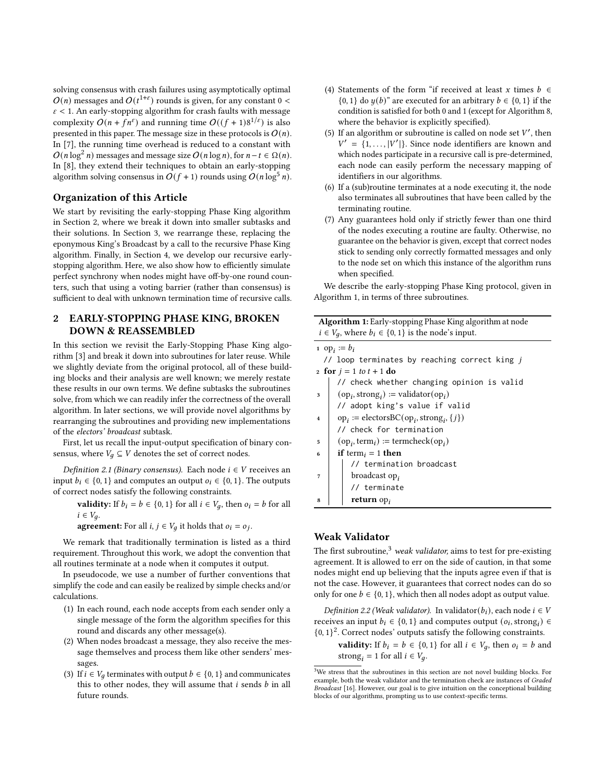solving consensus with crash failures using asymptotically optimal  $O(n)$  messages and  $O(t^{1+\epsilon})$  rounds is given, for any constant  $0 <$  $\varepsilon$  < 1. An early-stopping algorithm for crash faults with message complexity  $O(n + fn^{\epsilon})$  and running time  $O((f + 1)8^{1/\epsilon})$  is also presented in this paper. The message size in these protocols is  $O(n)$ . In [\[7\]](#page-9-22), the running time overhead is reduced to a constant with  $O(n \log^2 n)$  messages and message size  $O(n \log n)$ , for  $n-t \in \Omega(n)$ . In [\[8\]](#page-9-23), they extend their techniques to obtain an early-stopping algorithm solving consensus in  $O(f + 1)$  rounds using  $O(n \log^5 n)$ .

#### Organization of this Article

We start by revisiting the early-stopping Phase King algorithm in Section [2,](#page-2-0) where we break it down into smaller subtasks and their solutions. In Section [3,](#page-4-1) we rearrange these, replacing the eponymous King's Broadcast by a call to the recursive Phase King algorithm. Finally, in Section [4,](#page-5-0) we develop our recursive earlystopping algorithm. Here, we also show how to efficiently simulate perfect synchrony when nodes might have off-by-one round counters, such that using a voting barrier (rather than consensus) is sufficient to deal with unknown termination time of recursive calls.

## <span id="page-2-0"></span>2 EARLY-STOPPING PHASE KING, BROKEN DOWN & REASSEMBLED

In this section we revisit the Early-Stopping Phase King algorithm [\[3\]](#page-9-5) and break it down into subroutines for later reuse. While we slightly deviate from the original protocol, all of these building blocks and their analysis are well known; we merely restate these results in our own terms. We define subtasks the subroutines solve, from which we can readily infer the correctness of the overall algorithm. In later sections, we will provide novel algorithms by rearranging the subroutines and providing new implementations of the electors' broadcast subtask.

First, let us recall the input-output specification of binary consensus, where  $V_a \subseteq V$  denotes the set of correct nodes.

Definition 2.1 (Binary consensus). Each node  $i \in V$  receives an input  $b_i \in \{0, 1\}$  and computes an output  $o_i \in \{0, 1\}$ . The outputs of correct nodes satisfy the following constraints.

**validity:** If  $b_i = b \in \{0, 1\}$  for all  $i \in V_q$ , then  $o_i = b$  for all  $i \in V_a$ .

**agreement:** For all  $i, j \in V_q$  it holds that  $o_i = o_j$ .

We remark that traditionally termination is listed as a third requirement. Throughout this work, we adopt the convention that all routines terminate at a node when it computes it output.

In pseudocode, we use a number of further conventions that simplify the code and can easily be realized by simple checks and/or calculations.

- (1) In each round, each node accepts from each sender only a single message of the form the algorithm specifies for this round and discards any other message(s).
- (2) When nodes broadcast a message, they also receive the message themselves and process them like other senders' messages.
- (3) If  $i \in V_q$  terminates with output  $b \in \{0, 1\}$  and communicates this to other nodes, they will assume that  $i$  sends  $b$  in all future rounds.
- (4) Statements of the form "if received at least x times  $b \in$  $\{0, 1\}$  do  $y(b)$ " are executed for an arbitrary  $b \in \{0, 1\}$  if the condition is satisfied for both 0 and 1 (except for Algorithm [8,](#page-8-0) where the behavior is explicitly specified).
- (5) If an algorithm or subroutine is called on node set  $V'$ , then  $V' = \{1, \ldots, |V'| \}$ . Since node identifiers are known and which nodes participate in a recursive call is pre-determined, each node can easily perform the necessary mapping of identifiers in our algorithms.
- (6) If a (sub)routine terminates at a node executing it, the node also terminates all subroutines that have been called by the terminating routine.
- (7) Any guarantees hold only if strictly fewer than one third of the nodes executing a routine are faulty. Otherwise, no guarantee on the behavior is given, except that correct nodes stick to sending only correctly formatted messages and only to the node set on which this instance of the algorithm runs when specified.

We describe the early-stopping Phase King protocol, given in Algorithm [1,](#page-2-1) in terms of three subroutines.

| <b>Algorithm 1:</b> Early-stopping Phase King algorithm at node |  |  |  |
|-----------------------------------------------------------------|--|--|--|
| $i \in V_a$ , where $b_i \in \{0, 1\}$ is the node's input.     |  |  |  |

| 1 op <sub>i</sub> := $b_i$                                                           |  |  |  |  |
|--------------------------------------------------------------------------------------|--|--|--|--|
| // loop terminates by reaching correct king j                                        |  |  |  |  |
| 2 for $j = 1$ to $t + 1$ do                                                          |  |  |  |  |
| // check whether changing opinion is valid                                           |  |  |  |  |
| $(op_i, strong_i) := \text{validation}(op_i)$                                        |  |  |  |  |
| // adopt king's value if valid                                                       |  |  |  |  |
| $op_i := \text{electorsBC}(op_i, \text{strong}_i, \{j\})$<br>$\overline{\mathbf{4}}$ |  |  |  |  |
| // check for termination                                                             |  |  |  |  |
| $(op_i, term_i) := termcheck(op_i)$<br>5                                             |  |  |  |  |
| if term <sub>i</sub> = 1 then<br>6                                                   |  |  |  |  |
| // termination broadcast                                                             |  |  |  |  |
| broadcast $op_i$<br>7                                                                |  |  |  |  |
| // terminate                                                                         |  |  |  |  |
| return $op_i$<br>8                                                                   |  |  |  |  |

## <span id="page-2-1"></span>Weak Validator

The first subroutine,<sup>[3](#page-2-2)</sup> weak validator, aims to test for pre-existing agreement. It is allowed to err on the side of caution, in that some nodes might end up believing that the inputs agree even if that is not the case. However, it guarantees that correct nodes can do so only for one  $b \in \{0, 1\}$ , which then all nodes adopt as output value.

<span id="page-2-3"></span>Definition 2.2 (Weak validator). In validator( $b_i$ ), each node  $i \in V$ receives an input  $b_i \in \{0, 1\}$  and computes output  $(o_i, \text{strong}_i) \in$  $\{0, 1\}^2$ . Correct nodes' outputs satisfy the following constraints.

**validity:** If  $b_i = b \in \{0, 1\}$  for all  $i \in V_q$ , then  $o_i = b$  and strong<sub>i</sub> = 1 for all  $i \in V_q$ .

<span id="page-2-2"></span><sup>3</sup>We stress that the subroutines in this section are not novel building blocks. For example, both the weak validator and the termination check are instances of Graded Broadcast [\[16\]](#page-9-24). However, our goal is to give intuition on the conceptional building blocks of our algorithms, prompting us to use context-specific terms.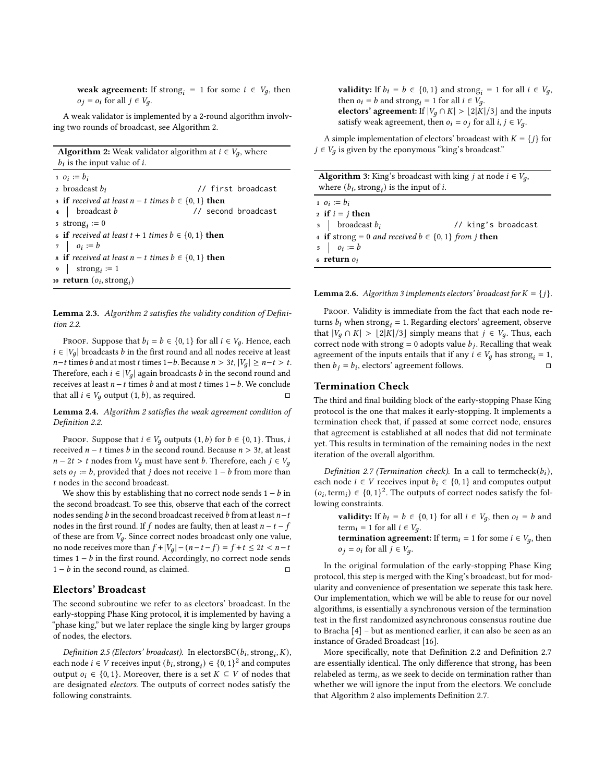weak agreement: If strong<sub>i</sub> = 1 for some  $i \in V_q$ , then  $o_i = o_i$  for all  $j \in V_a$ .

A weak validator is implemented by a 2-round algorithm involving two rounds of broadcast, see Algorithm [2.](#page-3-0)

**Algorithm 2:** Weak validator algorithm at  $i \in V_q$ , where  $b_i$  is the input value of *i*.

1  $o_i := b_i$ 2 broadcast  $b_i$  // first broadcast 3 if received at least  $n - t$  times  $b \in \{0, 1\}$  then 4 | broadcast b  $\frac{1}{2}$  // second broadcast 5 strong<sub>i</sub> := 0 6 if received at least  $t + 1$  times  $b \in \{0, 1\}$  then  $\begin{array}{ccc} 7 & | & o_i := b \end{array}$ 8 if received at least  $n - t$  times  $b \in \{0, 1\}$  then  $\bullet$  strong<sub>i</sub> := 1 10 **return**  $(o_i, \text{strong}_i)$ 

<span id="page-3-3"></span><span id="page-3-0"></span>Lemma 2.3. Algorithm [2](#page-3-0) satisfies the validity condition of Definition [2.2.](#page-2-3)

PROOF. Suppose that  $b_i = b \in \{0, 1\}$  for all  $i \in V_q$ . Hence, each  $i \in |V_q|$  broadcasts *b* in the first round and all nodes receive at least  $n-t$  times  $b$  and at most  $t$  times  $1-b$ . Because  $n > 3t$ ,  $|V_q| \ge n-t > t$ . Therefore, each  $i \in |V_q|$  again broadcasts b in the second round and receives at least  $n - t$  times  $b$  and at most  $t$  times  $1 - b$ . We conclude that all  $i \in V_q$  output  $(1, b)$ , as required.  $\square$ 

<span id="page-3-4"></span>Lemma 2.4. Algorithm [2](#page-3-0) satisfies the weak agreement condition of Definition [2.2.](#page-2-3)

PROOF. Suppose that  $i \in V_q$  outputs  $(1, b)$  for  $b \in \{0, 1\}$ . Thus, i received  $n - t$  times  $b$  in the second round. Because  $n > 3t$ , at least  $n-2t > t$  nodes from  $V_a$  must have sent *b*. Therefore, each  $j \in V_a$ sets  $o_i := b$ , provided that *j* does not receive  $1 - b$  from more than t nodes in the second broadcast.

We show this by establishing that no correct node sends  $1 - b$  in the second broadcast. To see this, observe that each of the correct nodes sending  $b$  in the second broadcast received  $b$  from at least  $n-t$ nodes in the first round. If  $f$  nodes are faulty, then at least  $n - t - f$ of these are from  $V_q$ . Since correct nodes broadcast only one value, no node receives more than  $f + |V_g| - (n - t - f) = f + t \le 2t < n - t$ times  $1 - b$  in the first round. Accordingly, no correct node sends  $1 - b$  in the second round, as claimed.  $□$ 

#### Electors' Broadcast

The second subroutine we refer to as electors' broadcast. In the early-stopping Phase King protocol, it is implemented by having a "phase king," but we later replace the single king by larger groups of nodes, the electors.

<span id="page-3-7"></span>Definition 2.5 (Electors' broadcast). In electors $BC(b_i, \text{strong}_i, K)$ , each node  $i \in V$  receives input  $(b_i, \text{strong}_i) \in \{0, 1\}^2$  and computes output  $o_i \in \{0, 1\}$ . Moreover, there is a set  $K \subseteq V$  of nodes that are designated electors. The outputs of correct nodes satisfy the following constraints.

**validity:** If  $b_i = b \in \{0, 1\}$  and strong<sub>i</sub> = 1 for all  $i \in V_q$ , then  $o_i = b$  and strong<sub>i</sub> = 1 for all  $i \in V_q$ . electors' agreement: If  $|V_a \cap K| > \lfloor 2|K|/3 \rfloor$  and the inputs satisfy weak agreement, then  $o_i = o_j$  for all  $i, j \in V_q$ .

A simple implementation of electors' broadcast with  $K = \{j\}$  for  $j \in V_q$  is given by the eponymous "king's broadcast."

**Algorithm 3:** King's broadcast with king *j* at node  $i \in V_a$ , where  $(b_i, \text{strong}_i)$  is the input of *i*.

1  $o_i := b_i$ 2 if  $i = j$  then  $3 \mid$  broadcast  $b_i$  // king's broadcast 4 if strong = 0 and received  $b \in \{0, 1\}$  from j then  $5 \mid o_i := b$  $6$  return  $o_i$ 

<span id="page-3-5"></span><span id="page-3-1"></span>**Lemma 2.6.** Algorithm [3](#page-3-1) implements electors' broadcast for  $K = \{j\}$ .

PROOF. Validity is immediate from the fact that each node returns  $b_i$  when strong<sub>i</sub> = 1. Regarding electors' agreement, observe that  $|V_q \cap K| > \lfloor 2|K|/3 \rfloor$  simply means that  $j \in V_q$ . Thus, each correct node with strong = 0 adopts value  $b_j$ . Recalling that weak agreement of the inputs entails that if any  $i \in V_g$  has strong<sub>i</sub> = 1, then  $b_i = b_i$ , electors' agreement follows. □

#### Termination Check

The third and final building block of the early-stopping Phase King protocol is the one that makes it early-stopping. It implements a termination check that, if passed at some correct node, ensures that agreement is established at all nodes that did not terminate yet. This results in termination of the remaining nodes in the next iteration of the overall algorithm.

<span id="page-3-2"></span>Definition 2.7 (Termination check). In a call to termcheck $(b_i)$ , each node  $i \in V$  receives input  $b_i \in \{0, 1\}$  and computes output  $(o_i, \text{term}_i) \in \{0, 1\}^2$ . The outputs of correct nodes satisfy the following constraints.

**validity:** If  $b_i = b \in \{0, 1\}$  for all  $i \in V_q$ , then  $o_i = b$  and term  $_i = 1$  for all  $i \in V_a$ .

**termination agreement:** If term<sub>i</sub> = 1 for some  $i \in V_q$ , then  $o_j = o_i$  for all  $j \in V_q$ .

In the original formulation of the early-stopping Phase King protocol, this step is merged with the King's broadcast, but for modularity and convenience of presentation we seperate this task here. Our implementation, which we will be able to reuse for our novel algorithms, is essentially a synchronous version of the termination test in the first randomized asynchronous consensus routine due to Bracha [\[4\]](#page-9-25) – but as mentioned earlier, it can also be seen as an instance of Graded Broadcast [\[16\]](#page-9-24).

<span id="page-3-6"></span>More specifically, note that Definition [2.2](#page-2-3) and Definition [2.7](#page-3-2) are essentially identical. The only difference that strong, has been relabeled as term<sub>i</sub>, as we seek to decide on termination rather than whether we will ignore the input from the electors. We conclude that Algorithm [2](#page-3-0) also implements Definition [2.7.](#page-3-2)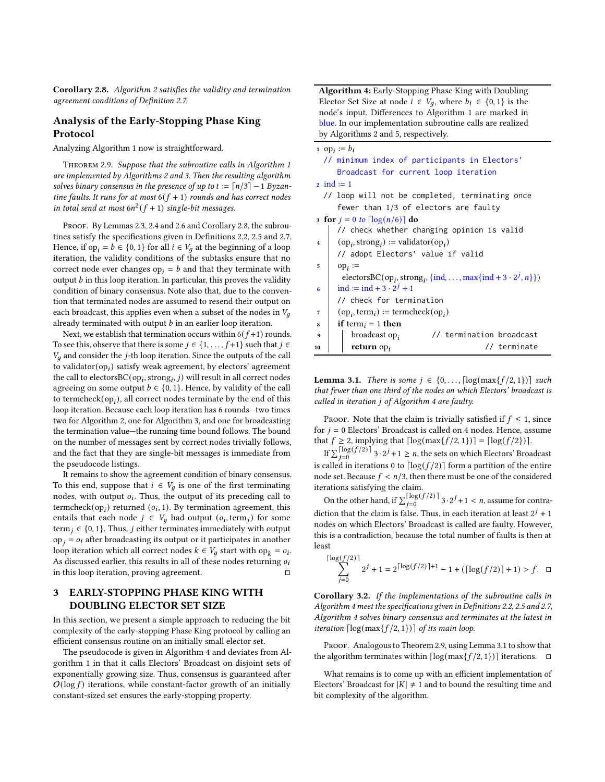Corollary 2.8. Algorithm [2](#page-3-0) satisfies the validity and termination agreement conditions of Definition [2.7.](#page-3-2)

#### Analysis of the Early-Stopping Phase King Protocol

Analyzing Algorithm [1](#page-2-1) now is straightforward.

<span id="page-4-2"></span>THEOREM 2.9. Suppose that the subroutine calls in Algorithm [1](#page-2-1) are implemented by Algorithms [2](#page-3-0) and [3.](#page-3-1) Then the resulting algorithm solves binary consensus in the presence of up to  $t := \lceil n/3 \rceil - 1$  Byzantine faults. It runs for at most  $6(f + 1)$  rounds and has correct nodes in total send at most  $6n^2(f + 1)$  single-bit messages.

PROOF. By Lemmas [2.3,](#page-3-3) [2.4](#page-3-4) and [2.6](#page-3-5) and Corollary [2.8,](#page-3-6) the subroutines satisfy the specifications given in Definitions [2.2,](#page-2-3) [2.5](#page-3-7) and [2.7.](#page-3-2) Hence, if op<sub>i</sub> =  $b \in \{0, 1\}$  for all  $i \in V_q$  at the beginning of a loop iteration, the validity conditions of the subtasks ensure that no correct node ever changes op<sub>i</sub> =  $b$  and that they terminate with output  $b$  in this loop iteration. In particular, this proves the validity condition of binary consensus. Note also that, due to the convention that terminated nodes are assumed to resend their output on each broadcast, this applies even when a subset of the nodes in  $V_a$ already terminated with output  $b$  in an earlier loop iteration.

Next, we establish that termination occurs within  $6(f+1)$  rounds. To see this, observe that there is some  $j \in \{1, ..., f+1\}$  such that  $j \in$  $V_q$  and consider the *j*-th loop iteration. Since the outputs of the call to validator $(op_i)$  satisfy weak agreement, by electors' agreement the call to electors  $BC(op_i, strong_i, j)$  will result in all correct nodes agreeing on some output  $b \in \{0, 1\}$ . Hence, by validity of the call to termcheck $(op_i)$ , all correct nodes terminate by the end of this loop iteration. Because each loop iteration has 6 rounds—two times two for Algorithm [2,](#page-3-0) one for Algorithm [3,](#page-3-1) and one for broadcasting the termination value—the running time bound follows. The bound on the number of messages sent by correct nodes trivially follows, and the fact that they are single-bit messages is immediate from the pseudocode listings.

It remains to show the agreement condition of binary consensus. To this end, suppose that  $i \in V_g$  is one of the first terminating nodes, with output  $o_i$ . Thus, the output of its preceding call to termcheck( $op<sub>i</sub>$ ) returned ( $o<sub>i</sub>$ , 1). By termination agreement, this entails that each node  $j \in V_a$  had output  $(o_i, \text{term}_i)$  for some term  $j \in \{0, 1\}$ . Thus, *j* either terminates immediately with output  $op<sub>j</sub> = o<sub>i</sub>$  after broadcasting its output or it participates in another loop iteration which all correct nodes  $k \in V_g$  start with op $_k = o_i$ . As discussed earlier, this results in all of these nodes returning  $o_i$ in this loop iteration, proving agreement.

# <span id="page-4-1"></span>3 EARLY-STOPPING PHASE KING WITH DOUBLING ELECTOR SET SIZE

In this section, we present a simple approach to reducing the bit complexity of the early-stopping Phase King protocol by calling an efficient consensus routine on an initially small elector set.

<span id="page-4-3"></span>The pseudocode is given in Algorithm [4](#page-4-0) and deviates from Algorithm [1](#page-2-1) in that it calls Electors' Broadcast on disjoint sets of exponentially growing size. Thus, consensus is guaranteed after  $O(\log f)$  iterations, while constant-factor growth of an initially constant-sized set ensures the early-stopping property.

Algorithm 4: Early-Stopping Phase King with Doubling Elector Set Size at node  $i \in V_g$ , where  $b_i \in \{0, 1\}$  is the node's input. Differences to Algorithm [1](#page-2-1) are marked in blue. In our implementation subroutine calls are realized by Algorithms [2](#page-3-0) and [5,](#page-5-1) respectively.

|                         | 1 op <sub>i</sub> $:= b_i$                                                                     |
|-------------------------|------------------------------------------------------------------------------------------------|
|                         | // minimum index of participants in Electors'                                                  |
|                         | Broadcast for current loop iteration                                                           |
|                         | $2 \text{ ind} := 1$                                                                           |
|                         | // loop will not be completed, terminating once                                                |
|                         | fewer than $1/3$ of electors are faulty                                                        |
|                         | 3 for $j = 0$ to $\lceil \log(n/6) \rceil$ do                                                  |
|                         | // check whether changing opinion is valid                                                     |
| $\overline{\mathbf{4}}$ | $(op_i, strong_i) := \text{validation}(op_i)$                                                  |
|                         | // adopt Electors' value if valid                                                              |
| 5                       | $op_i :=$                                                                                      |
|                         | electorsBC(op <sub>i</sub> , strong <sub>i</sub> , {ind, , max{ind + 3 · 2 <sup>j</sup> , n}}) |
| 6                       | ind := ind + 3 · $2^j$ + 1                                                                     |
|                         | // check for termination                                                                       |
| 7                       | $(op_i, term_i) := termcheck(op_i)$                                                            |
| 8                       | <b>if</b> term <sub>i</sub> = 1 <b>then</b>                                                    |
| 9                       | // termination broadcast<br>broadcast op <sub>i</sub>                                          |
| 10                      | // terminate<br>return $op_i$                                                                  |
|                         |                                                                                                |

<span id="page-4-0"></span>**Lemma 3.1.** There is some  $j \in \{0, \ldots, \lceil \log(\max\{f/2, 1\}) \rceil \}$  such that fewer than one third of the nodes on which Electors' broadcast is called in iteration j of Algorithm [4](#page-4-0) are faulty.

PROOF. Note that the claim is trivially satisfied if  $f \leq 1$ , since for  $j = 0$  Electors' Broadcast is called on 4 nodes. Hence, assume that  $f \ge 2$ , implying that  $\lceil \log(\max\{f/2, 1\}) \rceil = \lceil \log(f/2) \rceil$ .

If  $\sum_{j=0}^{\lceil \log(f/2) \rceil} 3 \cdot 2^j + 1 \ge n$ , the sets on which Electors' Broadcast is called in iterations 0 to  $\lceil \log(f/2) \rceil$  form a partition of the entire node set. Because  $f < n/3$ , then there must be one of the considered iterations satisfying the claim.

On the other hand, if  $\sum_{j=0}^{\lceil \log (f/2) \rceil} 3 \cdot 2^j + 1 < n$ , assume for contradiction that the claim is false. Thus, in each iteration at least  $2^{j} + 1$ nodes on which Electors' Broadcast is called are faulty. However, this is a contradiction, because the total number of faults is then at least

$$
\sum_{j=0}^{\lceil \log(f/2) \rceil} 2^j + 1 = 2^{\lceil \log(f/2) \rceil + 1} - 1 + (\lceil \log(f/2) \rceil + 1) > f.
$$
 □

<span id="page-4-4"></span>Corollary 3.2. If the implementations of the subroutine calls in Algorithm [4](#page-4-0) meet the specifications given in Definitions [2.2,](#page-2-3) [2.5](#page-3-7) and [2.7,](#page-3-2) Algorithm [4](#page-4-0) solves binary consensus and terminates at the latest in iteration  $\lceil \log(\max\{f/2, 1\}) \rceil$  of its main loop.

PROOF. Analogous to Theorem [2.9,](#page-4-2) using Lemma [3.1](#page-4-3) to show that the algorithm terminates within  $\lceil \log(\max\{f/2, 1\}) \rceil$  iterations.  $\Box$ 

What remains is to come up with an efficient implementation of Electors' Broadcast for  $|K| \neq 1$  and to bound the resulting time and bit complexity of the algorithm.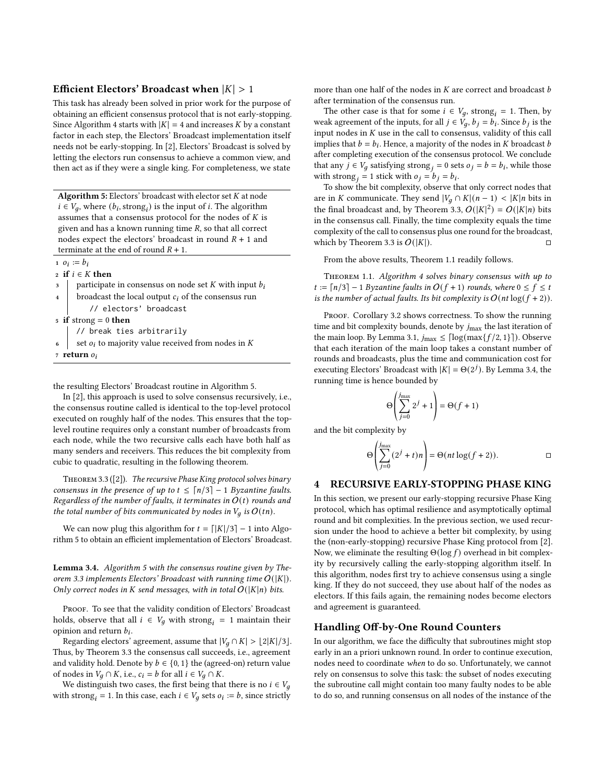#### Efficient Electors' Broadcast when  $|K| > 1$

This task has already been solved in prior work for the purpose of obtaining an efficient consensus protocol that is not early-stopping. Since Algorithm [4](#page-4-0) starts with  $|K| = 4$  and increases K by a constant factor in each step, the Electors' Broadcast implementation itself needs not be early-stopping. In [\[2\]](#page-9-6), Electors' Broadcast is solved by letting the electors run consensus to achieve a common view, and then act as if they were a single king. For completeness, we state

Algorithm 5: Electors' broadcast with elector set  $K$  at node  $i \in V_q$ , where  $(b_i, \text{strong}_i)$  is the input of *i*. The algorithm assumes that a consensus protocol for the nodes of  $K$  is given and has a known running time  $R$ , so that all correct nodes expect the electors' broadcast in round  $R + 1$  and terminate at the end of round  $R + 1$ .

- 1  $o_i := b_i$
- 2 if  $i \in K$  then
- $\alpha$  participate in consensus on node set K with input  $b_i$
- 4 broadcast the local output  $c_i$  of the consensus run // electors' broadcast
- 5 if strong  $= 0$  then
	- // break ties arbitrarily
- set  $o_i$  to majority value received from nodes in  $K$
- <span id="page-5-1"></span><sup>7</sup> return

the resulting Electors' Broadcast routine in Algorithm [5.](#page-5-1)

In [\[2\]](#page-9-6), this approach is used to solve consensus recursively, i.e., the consensus routine called is identical to the top-level protocol executed on roughly half of the nodes. This ensures that the toplevel routine requires only a constant number of broadcasts from each node, while the two recursive calls each have both half as many senders and receivers. This reduces the bit complexity from cubic to quadratic, resulting in the following theorem.

<span id="page-5-2"></span>THEOREM 3.3 ([\[2\]](#page-9-6)). The recursive Phase King protocol solves binary consensus in the presence of up to  $t \leq \lceil n/3 \rceil - 1$  Byzantine faults. Regardless of the number of faults, it terminates in  $O(t)$  rounds and the total number of bits communicated by nodes in  $V_a$  is  $O(tn)$ .

We can now plug this algorithm for  $t = \lfloor |K|/3 \rfloor - 1$  into Algorithm [5](#page-5-1) to obtain an efficient implementation of Electors' Broadcast.

<span id="page-5-3"></span>Lemma 3.4. Algorithm [5](#page-5-1) with the consensus routine given by The-orem [3.3](#page-5-2) implements Electors' Broadcast with running time  $O(|K|)$ . Only correct nodes in K send messages, with in total  $O(|K|n)$  bits.

PROOF. To see that the validity condition of Electors' Broadcast holds, observe that all  $i \in V_q$  with strong<sub>i</sub> = 1 maintain their opinion and return  $b_i$ .

Regarding electors' agreement, assume that  $|V_a \cap K| > \lfloor 2|K|/3 \rfloor$ . Thus, by Theorem [3.3](#page-5-2) the consensus call succeeds, i.e., agreement and validity hold. Denote by  $b \in \{0, 1\}$  the (agreed-on) return value of nodes in  $V_q \cap K$ , i.e.,  $c_i = b$  for all  $i \in V_q \cap K$ .

We distinguish two cases, the first being that there is no  $i \in V_q$ with strong<sub>i</sub> = 1. In this case, each  $i \in V_g$  sets  $o_i := b$ , since strictly more than one half of the nodes in  $K$  are correct and broadcast  $b$ after termination of the consensus run.

The other case is that for some  $i \in V_q$ , strong = 1. Then, by weak agreement of the inputs, for all  $j \in V_q$ ,  $b_j = b_i$ . Since  $b_j$  is the input nodes in  $K$  use in the call to consensus, validity of this call implies that  $b = b_i$ . Hence, a majority of the nodes in K broadcast b after completing execution of the consensus protocol. We conclude that any  $j \in V_q$  satisfying strong  $i = 0$  sets  $o_j = b = b_i$ , while those with strong  $i = 1$  stick with  $o_j = b_j = b_i$ .

To show the bit complexity, observe that only correct nodes that are in K communicate. They send  $|V_q \cap K|(n-1) < |K|n$  bits in the final broadcast and, by Theorem [3.3,](#page-5-2)  $O(|K|^2) = O(|K|n)$  bits in the consensus call. Finally, the time complexity equals the time complexity of the call to consensus plus one round for the broadcast, which by Theorem [3.3](#page-5-2) is  $O(|K|)$ .

From the above results, Theorem [1.1](#page-1-0) readily follows.

Theorem 1.1. Algorithm [4](#page-4-0) solves binary consensus with up to  $t := \lceil n/3 \rceil - 1$  Byzantine faults in  $O(f + 1)$  rounds, where  $0 \le f \le t$ is the number of actual faults. Its bit complexity is  $O(nt \log(f + 2))$ .

PROOF. Corollary [3.2](#page-4-4) shows correctness. To show the running time and bit complexity bounds, denote by  $j_{\text{max}}$  the last iteration of the main loop. By Lemma [3.1,](#page-4-3)  $j_{\text{max}} \leq \lceil \log(\max\{f/2, 1\}) \rceil$ ). Observe that each iteration of the main loop takes a constant number of rounds and broadcasts, plus the time and communication cost for executing Electors' Broadcast with  $|K| = \Theta(2^{j})$ . By Lemma [3.4,](#page-5-3) the running time is hence bounded by

$$
\Theta\left(\sum_{j=0}^{j_{\max}} 2^j + 1\right) = \Theta(f+1)
$$

and the bit complexity by

$$
\Theta\left(\sum_{j=0}^{j_{\text{max}}} (2^j + t)n\right) = \Theta(nt \log(f + 2)).\qquad \qquad \Box
$$

#### <span id="page-5-0"></span>4 RECURSIVE EARLY-STOPPING PHASE KING

In this section, we present our early-stopping recursive Phase King protocol, which has optimal resilience and asymptotically optimal round and bit complexities. In the previous section, we used recursion under the hood to achieve a better bit complexity, by using the (non-early-stopping) recursive Phase King protocol from [\[2\]](#page-9-6). Now, we eliminate the resulting  $\Theta(\log f)$  overhead in bit complexity by recursively calling the early-stopping algorithm itself. In this algorithm, nodes first try to achieve consensus using a single king. If they do not succeed, they use about half of the nodes as electors. If this fails again, the remaining nodes become electors and agreement is guaranteed.

#### Handling Off-by-One Round Counters

In our algorithm, we face the difficulty that subroutines might stop early in an a priori unknown round. In order to continue execution, nodes need to coordinate when to do so. Unfortunately, we cannot rely on consensus to solve this task: the subset of nodes executing the subroutine call might contain too many faulty nodes to be able to do so, and running consensus on all nodes of the instance of the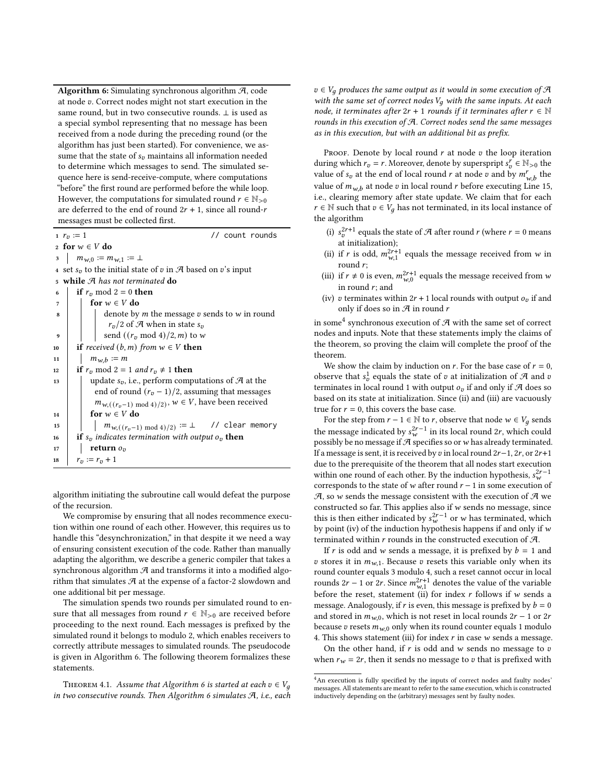Algorithm 6: Simulating synchronous algorithm  $A$ , code at node v. Correct nodes might not start execution in the same round, but in two consecutive rounds. ⊥ is used as a special symbol representing that no message has been received from a node during the preceding round (or the algorithm has just been started). For convenience, we assume that the state of  $s_v$  maintains all information needed to determine which messages to send. The simulated sequence here is send-receive-compute, where computations "before" the first round are performed before the while loop. However, the computations for simulated round  $r \in \mathbb{N}_{>0}$ are deferred to the end of round  $2r + 1$ , since all round-r messages must be collected first.

 $1 r_v := 1$  // count rounds

2 for  $w \in V$  do

3  $m_{w,0} := m_{w,1} := \perp$ 4 set  $s_v$  to the initial state of v in  $\mathcal A$  based on v's input <sup>5</sup> while A has not terminated do 6 if  $r_v \mod 2 = 0$  then 7  $\vert$  for  $w \in V$  do  $\mathbf{B} \parallel \mathbf{B}$  denote by *m* the message *v* sends to *w* in round  $r_v/2$  of  $\mathcal A$  when in state  $s_v$ send  $((r_v \mod 4)/2,m)$  to w 10 **if** received  $(b, m)$  from  $w \in V$  **then** 11  $m_{w,b} := m$ 12 if  $r_v \mod 2 = 1$  and  $r_v \neq 1$  then 13 | update  $s_v$ , i.e., perform computations of  $\mathcal{A}$  at the end of round  $(r_v - 1)/2$ , assuming that messages  $m_{w,((r_v-1) \mod 4)/2}$ ,  $w \in V$ , have been received 14 for  $w \in V$  do 15  $\mid$   $\mid$   $m_{w,((r_v-1) \bmod 4)/2)} := \bot$  // clear memory 16 if  $s_v$  indicates termination with output  $o_v$  then 17 **return**  $o_v$ 18  $r_v := r_v + 1$ 

<span id="page-6-1"></span><span id="page-6-0"></span>algorithm initiating the subroutine call would defeat the purpose of the recursion.

We compromise by ensuring that all nodes recommence execution within one round of each other. However, this requires us to handle this "desynchronization," in that despite it we need a way of ensuring consistent execution of the code. Rather than manually adapting the algorithm, we describe a generic compiler that takes a synchronous algorithm  $A$  and transforms it into a modified algorithm that simulates  $A$  at the expense of a factor-2 slowdown and one additional bit per message.

The simulation spends two rounds per simulated round to ensure that all messages from round  $r \in \mathbb{N}_{>0}$  are received before proceeding to the next round. Each messages is prefixed by the simulated round it belongs to modulo 2, which enables receivers to correctly attribute messages to simulated rounds. The pseudocode is given in Algorithm [6.](#page-6-0) The following theorem formalizes these statements.

<span id="page-6-3"></span>THEOREM 4.1. Assume that Algorithm [6](#page-6-0) is started at each  $v \in V_q$ in two consecutive rounds. Then Algorithm [6](#page-6-0) simulates  $A$ , i.e., each  $v \in V_g$  produces the same output as it would in some execution of  $\mathcal A$ with the same set of correct nodes  $V_q$  with the same inputs. At each node, it terminates after  $2r + 1$  rounds if it terminates after  $r \in \mathbb{N}$ rounds in this execution of  $A$ . Correct nodes send the same messages as in this execution, but with an additional bit as prefix.

PROOF. Denote by local round  $r$  at node  $v$  the loop iteration during which  $r_v = r$ . Moreover, denote by superspript  $s_v^r \in \mathbb{N}_{>0}$  the value of  $s_v$  at the end of local round r at node v and by  $m_{w,b}^r$  the value of  $m_{w,b}$  at node v in local round r before executing Line [15,](#page-6-1) i.e., clearing memory after state update. We claim that for each  $r \in \mathbb{N}$  such that  $v \in V_a$  has not terminated, in its local instance of the algorithm

- (i)  $s_0^{2r+1}$  equals the state of A after round r (where  $r = 0$  means at initialization);
- (ii) if r is odd,  $m_{w,1}^{2r+1}$  equals the message received from w in round  $r$ ;
- (iii) if  $r \neq 0$  is even,  $m_{w,0}^{2r+1}$  equals the message received from w in round  $r$ ; and
- (iv) v terminates within  $2r + 1$  local rounds with output  $o_v$  if and only if does so in  $A$  in round  $r$

in some $^4$  $^4$  synchronous execution of  ${\mathcal{A}}$  with the same set of correct nodes and inputs. Note that these statements imply the claims of the theorem, so proving the claim will complete the proof of the theorem.

We show the claim by induction on  $r$ . For the base case of  $r = 0$ , observe that  $s_v^1$  equals the state of  $v$  at initialization of  $\mathcal A$  and  $v$ terminates in local round 1 with output  $o_v$  if and only if A does so based on its state at initialization. Since (ii) and (iii) are vacuously true for  $r = 0$ , this covers the base case.

For the step from  $r - 1 \in \mathbb{N}$  to r, observe that node  $w \in V_q$  sends the message indicated by  $s_w^{2r-1}$  in its local round 2r, which could possibly be no message if  $A$  specifies so or w has already terminated. If a message is sent, it is received by  $v$  in local round  $2r-1$ ,  $2r$ , or  $2r+1$ due to the prerequisite of the theorem that all nodes start execution within one round of each other. By the induction hypothesis,  $s_w^{2r-1}$ corresponds to the state of  $w$  after round  $r - 1$  in some execution of  $A$ , so w sends the message consistent with the execution of  $A$  we constructed so far. This applies also if  $w$  sends no message, since this is then either indicated by  $s_w^{2r-1}$  or w has terminated, which by point (iv) of the induction hypothesis happens if and only if  $w$ terminated within  $r$  rounds in the constructed execution of  $\mathcal{A}$ .

If r is odd and w sends a message, it is prefixed by  $b = 1$  and v stores it in  $m_{w,1}$ . Because v resets this variable only when its round counter equals 3 modulo 4, such a reset cannot occur in local rounds 2r – 1 or 2r. Since  $m_{w,1}^{2r+1}$  denotes the value of the variable before the reset, statement (ii) for index  $r$  follows if  $w$  sends a message. Analogously, if  $r$  is even, this message is prefixed by  $b = 0$ and stored in  $m_{w,0}$ , which is not reset in local rounds  $2r - 1$  or  $2r$ because  $v$  resets  $m_{w,0}$  only when its round counter equals 1 modulo 4. This shows statement (iii) for index  $r$  in case  $w$  sends a message.

On the other hand, if  $r$  is odd and  $w$  sends no message to  $v$ when  $r_w = 2r$ , then it sends no message to v that is prefixed with

<span id="page-6-2"></span><sup>&</sup>lt;sup>4</sup>An execution is fully specified by the inputs of correct nodes and faulty nodes' messages. All statements are meant to refer to the same execution, which is constructed inductively depending on the (arbitrary) messages sent by faulty nodes.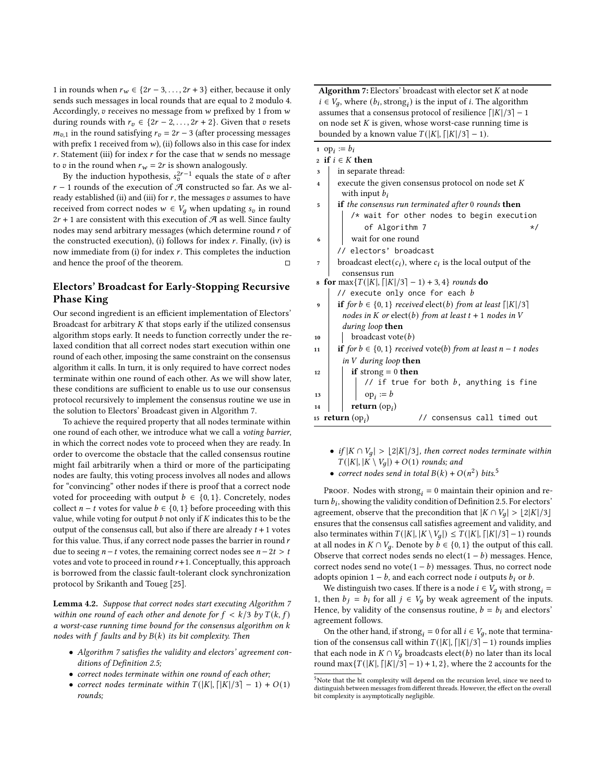1 in rounds when  $r_w \in \{2r - 3, \ldots, 2r + 3\}$  either, because it only sends such messages in local rounds that are equal to 2 modulo 4. Accordingly,  $v$  receives no message from  $w$  prefixed by 1 from  $w$ during rounds with  $r_v \in \{2r-2,\ldots,2r+2\}$ . Given that v resets  $m_{v,1}$  in the round satisfying  $r_v = 2r - 3$  (after processing messages with prefix 1 received from  $w$ ), (ii) follows also in this case for index  $r$ . Statement (iii) for index  $r$  for the case that  $w$  sends no message to v in the round when  $r_w = 2r$  is shown analogously.

By the induction hypothesis,  $s_v^{2r-1}$  equals the state of v after  $r - 1$  rounds of the execution of A constructed so far. As we already established (ii) and (iii) for  $r$ , the messages  $v$  assumes to have received from correct nodes  $w \in V_a$  when updating  $s_n$  in round  $2r + 1$  are consistent with this execution of  $\mathcal{A}$  as well. Since faulty nodes may send arbitrary messages (which determine round  $r$  of the constructed execution), (i) follows for index  $r$ . Finally, (iv) is now immediate from (i) for index  $r$ . This completes the induction and hence the proof of the theorem.

# Electors' Broadcast for Early-Stopping Recursive Phase King

Our second ingredient is an efficient implementation of Electors' Broadcast for arbitrary  $K$  that stops early if the utilized consensus algorithm stops early. It needs to function correctly under the relaxed condition that all correct nodes start execution within one round of each other, imposing the same constraint on the consensus algorithm it calls. In turn, it is only required to have correct nodes terminate within one round of each other. As we will show later, these conditions are sufficient to enable us to use our consensus protocol recursively to implement the consensus routine we use in the solution to Electors' Broadcast given in Algorithm [7.](#page-7-0)

To achieve the required property that all nodes terminate within one round of each other, we introduce what we call a voting barrier, in which the correct nodes vote to proceed when they are ready. In order to overcome the obstacle that the called consensus routine might fail arbitrarily when a third or more of the participating nodes are faulty, this voting process involves all nodes and allows for "convincing" other nodes if there is proof that a correct node voted for proceeding with output  $b \in \{0, 1\}$ . Concretely, nodes collect  $n - t$  votes for value  $b \in \{0, 1\}$  before proceeding with this value, while voting for output  $b$  not only if  $K$  indicates this to be the output of the consensus call, but also if there are already  $t + 1$  votes for this value. Thus, if any correct node passes the barrier in round  $r$ due to seeing  $n − t$  votes, the remaining correct nodes see  $n − 2t > t$ votes and vote to proceed in round  $r+1$ . Conceptually, this approach is borrowed from the classic fault-tolerant clock synchronization protocol by Srikanth and Toueg [\[25\]](#page-9-9).

<span id="page-7-2"></span>Lemma 4.2. Suppose that correct nodes start executing Algorithm [7](#page-7-0) within one round of each other and denote for  $f < k/3$  by  $T(k, f)$ a worst-case running time bound for the consensus algorithm on  $k$ nodes with  $f$  faults and by  $B(k)$  its bit complexity. Then

- Algorithm [7](#page-7-0) satisfies the validity and electors' agreement conditions of Definition [2.5;](#page-3-7)
- correct nodes terminate within one round of each other;
- correct nodes terminate within  $T(|K|, \lceil |K|/3 \rceil 1) + O(1)$ rounds;

Algorithm 7: Electors' broadcast with elector set  $K$  at node  $i \in V_q$ , where  $(b_i, \text{strong}_i)$  is the input of *i*. The algorithm assumes that a consensus protocol of resilience  $\lceil |K|/3 \rceil - 1$ on node set  $K$  is given, whose worst-case running time is bounded by a known value  $T(|K|, \lceil |K|/3 \rceil - 1)$ .

- 1 op<sub>i</sub> :=  $b_i$
- 2 if  $i \in K$  then <sup>3</sup> in separate thread:
- 4 execute the given consensus protocol on node set  $K$ with input  $b_i$
- 5 **if** the consensus run terminated after 0 rounds then /\* wait for other nodes to begin execution of Algorithm [7](#page-7-0)  $\star/$
- <sup>6</sup> wait for one round
	- electors' broadcast
- <sup>7</sup> broadcast elect( $c_i$ ), where  $c_i$  is the local output of the consensus run
- 8 for  $\max\{T(|K|, \lceil |K|/3 \rceil 1) + 3, 4\}$  rounds do  $\frac{1}{2}$  execute only once for each  $b$
- 9 if for  $b \in \{0, 1\}$  received elect(b) from at least  $\lfloor |K|/3 \rfloor$ nodes in  $K$  or elect(b) from at least  $t + 1$  nodes in  $V$ during loop then
- $10$  broadcast vote(b)
- 11 **if** for  $b \in \{0, 1\}$  received vote(b) from at least  $n t$  nodes in  $V$  during loop then
- <span id="page-7-0"></span> $12$  | if strong = 0 then // if true for both  $b$ , anything is fine  $_{13}$  | | |  $_{\text{op}_i} := b$ 14 **return**  $(op_i)$ 15 return  $(op_i)$ ) // consensus call timed out
	- if  $|K \cap V_q| > \lfloor 2|K|/3 \rfloor$ , then correct nodes terminate within  $T(|K|, |K \setminus V_q|) + O(1)$  rounds; and
	- correct nodes send in total  $B(k) + O(n^2)$  bits.<sup>[5](#page-7-1)</sup>

PROOF. Nodes with strong $_i = 0$  maintain their opinion and return  $b_i$ , showing the validity condition of Definition [2.5.](#page-3-7) For electors' agreement, observe that the precondition that  $|K \cap V_q| > \lfloor 2|K|/3 \rfloor$ ensures that the consensus call satisfies agreement and validity, and also terminates within  $T(|K|, |K \setminus V_a|) \leq T(|K|, |K|/3 - 1)$  rounds at all nodes in  $K \cap V_q$ . Denote by  $b \in \{0, 1\}$  the output of this call. Observe that correct nodes sends no elect( $1 - b$ ) messages. Hence, correct nodes send no vote $(1 - b)$  messages. Thus, no correct node adopts opinion  $1 - b$ , and each correct node *i* outputs  $b_i$  or  $b$ .

We distinguish two cases. If there is a node  $i \in V_a$  with strong, = 1, then  $b_j = b_i$  for all  $j \in V_q$  by weak agreement of the inputs. Hence, by validity of the consensus routine,  $b = b_i$  and electors' agreement follows.

On the other hand, if strong  $_i = 0$  for all  $i \in V_q$ , note that termination of the consensus call within  $T(|K|, \lceil |K|/3 \rceil - 1)$  rounds implies that each node in  $K \cap V_q$  broadcasts elect(b) no later than its local round max $\{T(|K|, [K]/3] - 1) + 1, 2\}$ , where the 2 accounts for the

<span id="page-7-1"></span><sup>&</sup>lt;sup>5</sup>Note that the bit complexity will depend on the recursion level, since we need to distinguish between messages from different threads. However, the effect on the overall bit complexity is asymptotically negligible.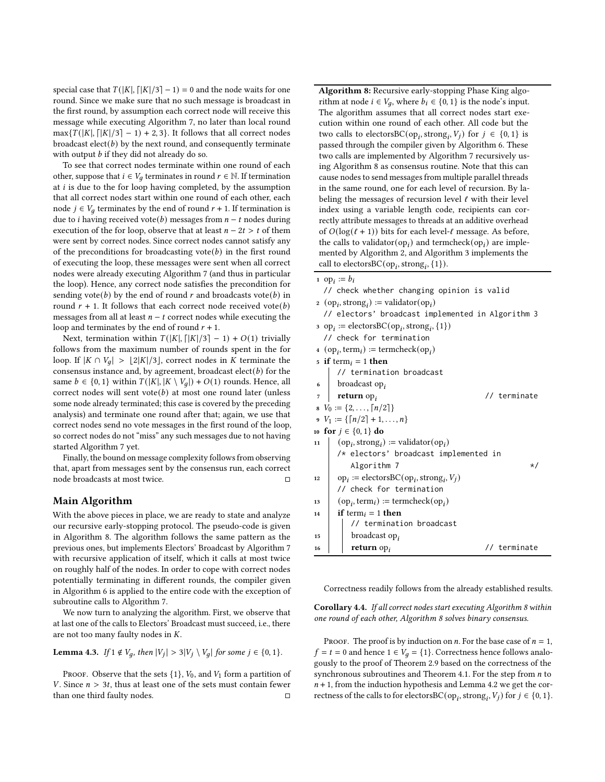special case that  $T(|K|, |K|/3] - 1) = 0$  and the node waits for one round. Since we make sure that no such message is broadcast in the first round, by assumption each correct node will receive this message while executing Algorithm [7,](#page-7-0) no later than local round  $\max\{T(|K|, \lceil|K|/3\rceil - 1) + 2, 3\}.$  It follows that all correct nodes broadcast  $\text{elect}(b)$  by the next round, and consequently terminate with output  $b$  if they did not already do so.

To see that correct nodes terminate within one round of each other, suppose that *i* ∈  $V_q$  terminates in round  $r$  ∈ N. If termination at  $i$  is due to the for loop having completed, by the assumption that all correct nodes start within one round of each other, each node *j* ∈  $V_q$  terminates by the end of round  $r + 1$ . If termination is due to *i* having received vote(*b*) messages from  $n - t$  nodes during execution of the for loop, observe that at least  $n - 2t > t$  of them were sent by correct nodes. Since correct nodes cannot satisfy any of the preconditions for broadcasting vote( $b$ ) in the first round of executing the loop, these messages were sent when all correct nodes were already executing Algorithm [7](#page-7-0) (and thus in particular the loop). Hence, any correct node satisfies the precondition for sending vote(b) by the end of round r and broadcasts vote(b) in round  $r + 1$ . It follows that each correct node received vote(b) messages from all at least  $n - t$  correct nodes while executing the loop and terminates by the end of round  $r + 1$ .

Next, termination within  $T(|K|, |K|/3] - 1) + O(1)$  trivially follows from the maximum number of rounds spent in the for loop. If  $|K \cap V_q| > \lfloor 2|K|/3 \rfloor$ , correct nodes in K terminate the consensus instance and, by agreement, broadcast  $\text{elect}(b)$  for the same  $b \in \{0, 1\}$  within  $T(|K|, |K \setminus V_q|) + O(1)$  rounds. Hence, all correct nodes will sent vote $(b)$  at most one round later (unless some node already terminated; this case is covered by the preceding analysis) and terminate one round after that; again, we use that correct nodes send no vote messages in the first round of the loop, so correct nodes do not "miss" any such messages due to not having started Algorithm [7](#page-7-0) yet.

Finally, the bound on message complexity follows from observing that, apart from messages sent by the consensus run, each correct node broadcasts at most twice.  $\hfill \Box$ 

#### Main Algorithm

With the above pieces in place, we are ready to state and analyze our recursive early-stopping protocol. The pseudo-code is given in Algorithm [8.](#page-8-0) The algorithm follows the same pattern as the previous ones, but implements Electors' Broadcast by Algorithm [7](#page-7-0) with recursive application of itself, which it calls at most twice on roughly half of the nodes. In order to cope with correct nodes potentially terminating in different rounds, the compiler given in Algorithm [6](#page-6-0) is applied to the entire code with the exception of subroutine calls to Algorithm [7.](#page-7-0)

We now turn to analyzing the algorithm. First, we observe that at last one of the calls to Electors' Broadcast must succeed, i.e., there are not too many faulty nodes in  $K$ .

<span id="page-8-1"></span>**Lemma 4.3.** If 
$$
1 \notin V_q
$$
, then  $|V_j| > 3|V_j \setminus V_q|$  for some  $j \in \{0, 1\}$ .

PROOF. Observe that the sets  $\{1\}$ ,  $V_0$ , and  $V_1$  form a partition of V. Since  $n > 3t$ , thus at least one of the sets must contain fewer than one third faulty nodes.  $□$ 

Algorithm 8: Recursive early-stopping Phase King algorithm at node  $i \in V_q$ , where  $b_i \in \{0, 1\}$  is the node's input. The algorithm assumes that all correct nodes start execution within one round of each other. All code but the two calls to electors  $BC(op_i, strong_i, V_j)$  for  $j \in \{0, 1\}$  is passed through the compiler given by Algorithm [6.](#page-6-0) These two calls are implemented by Algorithm [7](#page-7-0) recursively using Algorithm [8](#page-8-0) as consensus routine. Note that this can cause nodes to send messages from multiple parallel threads in the same round, one for each level of recursion. By labeling the messages of recursion level  $\ell$  with their level index using a variable length code, recipients can correctly attribute messages to threads at an additive overhead of  $O(log(\ell + 1))$  bits for each level- $\ell$  message. As before, the calls to validator(op<sub>i</sub>) and termcheck(op<sub>i</sub>) are implemented by Algorithm [2,](#page-3-0) and Algorithm [3](#page-3-1) implements the call to electors  $BC(op_i, strong_i, {1}).$ 

| $\sim$ $\mu$ $\sim$ $\sigma$ $\mu$ ( ) $\prime$         |                                                                                                                                                                                                                                                                                                                                                                                                                                                                 |
|---------------------------------------------------------|-----------------------------------------------------------------------------------------------------------------------------------------------------------------------------------------------------------------------------------------------------------------------------------------------------------------------------------------------------------------------------------------------------------------------------------------------------------------|
|                                                         |                                                                                                                                                                                                                                                                                                                                                                                                                                                                 |
| // check whether changing opinion is valid              |                                                                                                                                                                                                                                                                                                                                                                                                                                                                 |
|                                                         |                                                                                                                                                                                                                                                                                                                                                                                                                                                                 |
| // electors' broadcast implemented in Algorithm 3       |                                                                                                                                                                                                                                                                                                                                                                                                                                                                 |
|                                                         |                                                                                                                                                                                                                                                                                                                                                                                                                                                                 |
|                                                         |                                                                                                                                                                                                                                                                                                                                                                                                                                                                 |
|                                                         |                                                                                                                                                                                                                                                                                                                                                                                                                                                                 |
|                                                         |                                                                                                                                                                                                                                                                                                                                                                                                                                                                 |
| // termination broadcast                                |                                                                                                                                                                                                                                                                                                                                                                                                                                                                 |
| broadcast $opi$                                         |                                                                                                                                                                                                                                                                                                                                                                                                                                                                 |
| <b>return</b> $op_i$                                    | // terminate                                                                                                                                                                                                                                                                                                                                                                                                                                                    |
|                                                         |                                                                                                                                                                                                                                                                                                                                                                                                                                                                 |
|                                                         |                                                                                                                                                                                                                                                                                                                                                                                                                                                                 |
|                                                         |                                                                                                                                                                                                                                                                                                                                                                                                                                                                 |
| $(op_i, strong_i) := \text{validation}(op_i)$           |                                                                                                                                                                                                                                                                                                                                                                                                                                                                 |
| /* electors' broadcast implemented in                   |                                                                                                                                                                                                                                                                                                                                                                                                                                                                 |
| Algorithm 7                                             | $\star/$                                                                                                                                                                                                                                                                                                                                                                                                                                                        |
| $op_i := \text{electorsBC}(op_i, \text{strong}_i, V_i)$ |                                                                                                                                                                                                                                                                                                                                                                                                                                                                 |
| // check for termination                                |                                                                                                                                                                                                                                                                                                                                                                                                                                                                 |
| $(op_i, term_i) := termcheck(op_i)$                     |                                                                                                                                                                                                                                                                                                                                                                                                                                                                 |
| <b>if</b> term <sub>i</sub> = 1 <b>then</b>             |                                                                                                                                                                                                                                                                                                                                                                                                                                                                 |
| // termination broadcast                                |                                                                                                                                                                                                                                                                                                                                                                                                                                                                 |
| broadcast $op_i$                                        |                                                                                                                                                                                                                                                                                                                                                                                                                                                                 |
| <b>return</b> $op_i$                                    | // terminate                                                                                                                                                                                                                                                                                                                                                                                                                                                    |
|                                                         | 1 op <sub>i</sub> $:= b_i$<br>2 (op <sub>i</sub> , strong <sub>i</sub> ) := validator(op <sub>i</sub> )<br>3 op <sub>i</sub> := electorsBC(op <sub>i</sub> , strong <sub>i</sub> , {1})<br>// check for termination<br>4 (op <sub>i</sub> , term <sub>i</sub> ) := termcheck(op <sub>i</sub> )<br>5 if term <sub>i</sub> = 1 then<br>$V_0 := \{2, \ldots, \lceil n/2 \rceil\}$<br>$V_1 := \{ \lceil n/2 \rceil + 1, \ldots, n \}$<br>10 for $j \in \{0, 1\}$ do |

<span id="page-8-0"></span>Correctness readily follows from the already established results.

<span id="page-8-2"></span>Corollary 4.4. If all correct nodes start executing Algorithm [8](#page-8-0) within one round of each other, Algorithm [8](#page-8-0) solves binary consensus.

PROOF. The proof is by induction on *n*. For the base case of  $n = 1$ ,  $f = t = 0$  and hence  $1 \in V_q = \{1\}$ . Correctness hence follows analogously to the proof of Theorem [2.9](#page-4-2) based on the correctness of the synchronous subroutines and Theorem [4.1.](#page-6-3) For the step from  $n$  to  $n + 1$ , from the induction hypothesis and Lemma [4.2](#page-7-2) we get the correctness of the calls to for electors BC(op<sub>i</sub>, strong<sub>i</sub>,  $V_j$ ) for  $j \in \{0, 1\}$ .